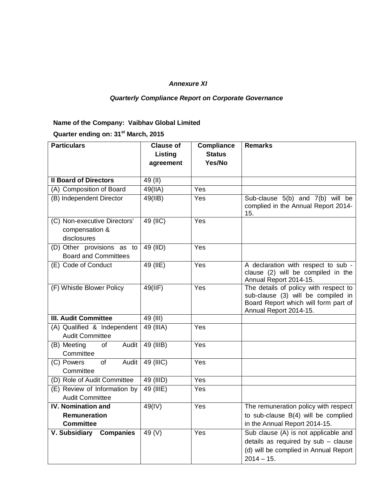## *Annexure XI*

## *Quarterly Compliance Report on Corporate Governance*

## **Name of the Company: Vaibhav Global Limited**

**Quarter ending on: 31st March, 2015**

| <b>Particulars</b>                                            | <b>Clause of</b>  | <b>Compliance</b> | <b>Remarks</b>                                                                                                                                |
|---------------------------------------------------------------|-------------------|-------------------|-----------------------------------------------------------------------------------------------------------------------------------------------|
|                                                               | Listing           | <b>Status</b>     |                                                                                                                                               |
|                                                               | agreement         | Yes/No            |                                                                                                                                               |
|                                                               |                   |                   |                                                                                                                                               |
| <b>Il Board of Directors</b>                                  | 49 (II)           |                   |                                                                                                                                               |
| (A) Composition of Board                                      | 49(IIA)           | Yes               |                                                                                                                                               |
| (B) Independent Director                                      | $49($ IIB)        | Yes               | Sub-clause 5(b) and 7(b) will be<br>complied in the Annual Report 2014-<br>15.                                                                |
| (C) Non-executive Directors'<br>compensation &<br>disclosures | 49 (IIC)          | Yes               |                                                                                                                                               |
| (D) Other provisions as to                                    | 49 (IID)          | Yes               |                                                                                                                                               |
| <b>Board and Committees</b>                                   |                   |                   |                                                                                                                                               |
| (E) Code of Conduct                                           | 49 (IIE)          | Yes               | A declaration with respect to sub -<br>clause (2) will be compiled in the<br>Annual Report 2014-15.                                           |
| (F) Whistle Blower Policy                                     | 49(III)           | Yes               | The details of policy with respect to<br>sub-clause (3) will be compiled in<br>Board Report which will form part of<br>Annual Report 2014-15. |
| <b>III. Audit Committee</b>                                   | 49 (III)          |                   |                                                                                                                                               |
| (A) Qualified & Independent<br><b>Audit Committee</b>         | 49 (IIIA)         | Yes               |                                                                                                                                               |
| (B) Meeting<br>of<br>Audit<br>Committee                       | 49 (IIIB)         | Yes               |                                                                                                                                               |
| Audit<br>(C) Powers<br>of<br>Committee                        | 49 (IIIC)         | Yes               |                                                                                                                                               |
| (D) Role of Audit Committee                                   | 49 (IIID)         | Yes               |                                                                                                                                               |
| (E) Review of Information by<br><b>Audit Committee</b>        | 49 (IIIE)         | Yes               |                                                                                                                                               |
| <b>IV. Nomination and</b>                                     | 49(IV)            | Yes               | The remuneration policy with respect                                                                                                          |
| <b>Remuneration</b><br><b>Committee</b>                       |                   |                   | to sub-clause B(4) will be complied<br>in the Annual Report 2014-15.                                                                          |
| <b>V. Subsidiary</b><br><b>Companies</b>                      | 49 <sub>(V)</sub> | Yes               | Sub clause (A) is not applicable and<br>details as required by sub - clause<br>(d) will be complied in Annual Report<br>$2014 - 15.$          |